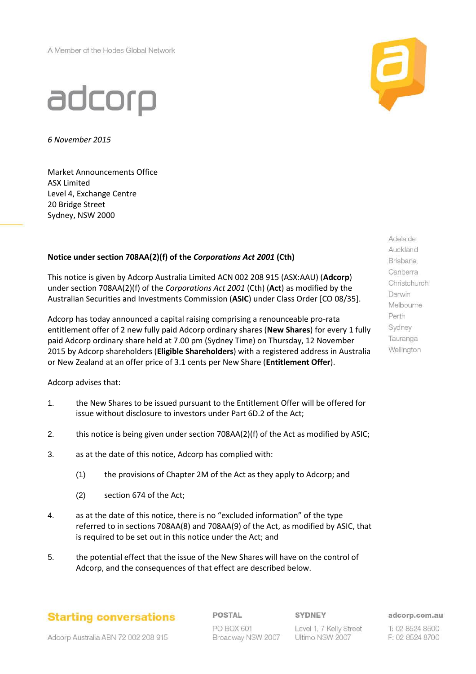A Member of the Hodes Global Network



## adcorp

*6 November 2015*

Market Announcements Office ASX Limited Level 4, Exchange Centre 20 Bridge Street Sydney, NSW 2000

## **Notice under section 708AA(2)(f) of the** *Corporations Act 2001* **(Cth)**

This notice is given by Adcorp Australia Limited ACN 002 208 915 (ASX:AAU) (**Adcorp**) under section 708AA(2)(f) of the *Corporations Act 2001* (Cth) (**Act**) as modified by the Australian Securities and Investments Commission (**ASIC**) under Class Order [CO 08/35].

Adcorp has today announced a capital raising comprising a renounceable pro-rata entitlement offer of 2 new fully paid Adcorp ordinary shares (**New Shares**) for every 1 fully paid Adcorp ordinary share held at 7.00 pm (Sydney Time) on Thursday, 12 November 2015 by Adcorp shareholders (**Eligible Shareholders**) with a registered address in Australia or New Zealand at an offer price of 3.1 cents per New Share (**Entitlement Offer**).

Adcorp advises that:

- 1. the New Shares to be issued pursuant to the Entitlement Offer will be offered for issue without disclosure to investors under Part 6D.2 of the Act;
- 2. this notice is being given under section 708AA(2)(f) of the Act as modified by ASIC;
- 3. as at the date of this notice, Adcorp has complied with:
	- (1) the provisions of Chapter 2M of the Act as they apply to Adcorp; and
	- (2) section 674 of the Act;
- 4. as at the date of this notice, there is no "excluded information" of the type referred to in sections 708AA(8) and 708AA(9) of the Act, as modified by ASIC, that is required to be set out in this notice under the Act; and
- 5. the potential effect that the issue of the New Shares will have on the control of Adcorp, and the consequences of that effect are described below.

Melbourne Perth Sydney Tauranga Wellington

Adelaide Auckland Brisbane Canberra Christchurch Darwin

**Starting conversations** 

POSTAL PO BOX 601 Broadway NSW 2007 SYDNEY

Level 1, 7 Kelly Street Ultimo NSW 2007

adcorp.com.au

T: 02 8524 8500 F: 02 8524 8700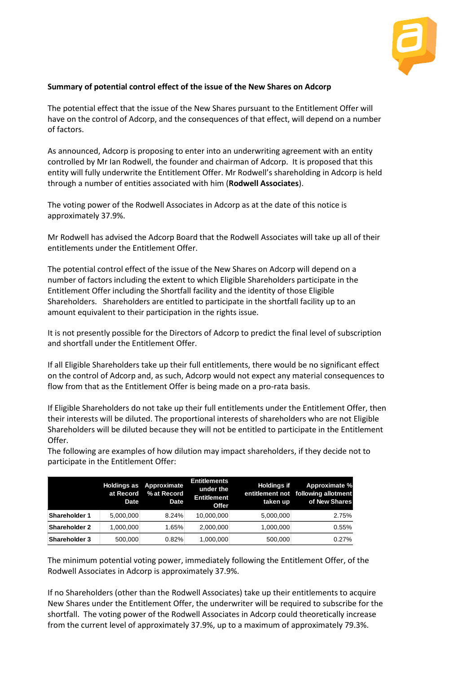

## **Summary of potential control effect of the issue of the New Shares on Adcorp**

The potential effect that the issue of the New Shares pursuant to the Entitlement Offer will have on the control of Adcorp, and the consequences of that effect, will depend on a number of factors.

As announced, Adcorp is proposing to enter into an underwriting agreement with an entity controlled by Mr Ian Rodwell, the founder and chairman of Adcorp. It is proposed that this entity will fully underwrite the Entitlement Offer. Mr Rodwell's shareholding in Adcorp is held through a number of entities associated with him (**Rodwell Associates**).

The voting power of the Rodwell Associates in Adcorp as at the date of this notice is approximately 37.9%.

Mr Rodwell has advised the Adcorp Board that the Rodwell Associates will take up all of their entitlements under the Entitlement Offer.

The potential control effect of the issue of the New Shares on Adcorp will depend on a number of factors including the extent to which Eligible Shareholders participate in the Entitlement Offer including the Shortfall facility and the identity of those Eligible Shareholders. Shareholders are entitled to participate in the shortfall facility up to an amount equivalent to their participation in the rights issue.

It is not presently possible for the Directors of Adcorp to predict the final level of subscription and shortfall under the Entitlement Offer.

If all Eligible Shareholders take up their full entitlements, there would be no significant effect on the control of Adcorp and, as such, Adcorp would not expect any material consequences to flow from that as the Entitlement Offer is being made on a pro-rata basis.

If Eligible Shareholders do not take up their full entitlements under the Entitlement Offer, then their interests will be diluted. The proportional interests of shareholders who are not Eligible Shareholders will be diluted because they will not be entitled to participate in the Entitlement Offer.

|                                                      | <b>Holdings as</b><br>at Record<br>Date | Approximate<br>% at Record<br>Date | <b>Entitlements</b><br>under the<br><b>Entitlement</b><br>Offer | <b>Holdings if</b><br>taken up | Approximate %<br>entitlement not following allotment<br>of New Shares                   |
|------------------------------------------------------|-----------------------------------------|------------------------------------|-----------------------------------------------------------------|--------------------------------|-----------------------------------------------------------------------------------------|
| <b>Shareholder 1</b>                                 | 5,000,000                               | 8.24%                              | 10,000,000                                                      | 5,000,000                      | 2.75%                                                                                   |
| <b>Shareholder 2</b>                                 | 1,000,000                               | 1.65%                              | 2,000,000                                                       | 1,000,000                      | 0.55%                                                                                   |
| <b>Shareholder 3</b>                                 | 500,000                                 | 0.82%                              | 1,000,000                                                       | 500,000                        | 0.27%                                                                                   |
|                                                      |                                         |                                    |                                                                 |                                |                                                                                         |
| Rodwell Associates in Adcorp is approximately 37.9%. |                                         |                                    |                                                                 |                                | The minimum potential voting power, immediately following the Entitlement Offer, of the |

The following are examples of how dilution may impact shareholders, if they decide not to participate in the Entitlement Offer: